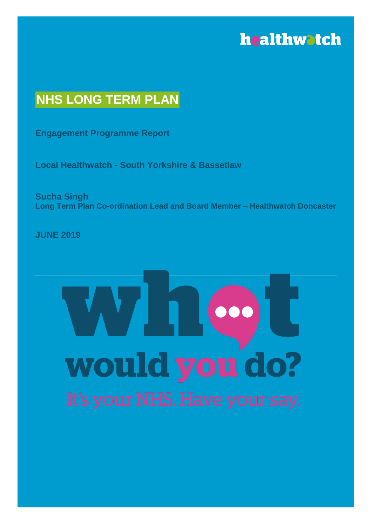

# **NHS LONG TERM PLAN**

**Engagement Programme Report**

**Local Healthwatch - South Yorkshire & Bassetlaw**

**Sucha Singh Long Term Plan Co-ordination Lead and Board Member – Healthwatch Doncaster**

**JUNE 2019**

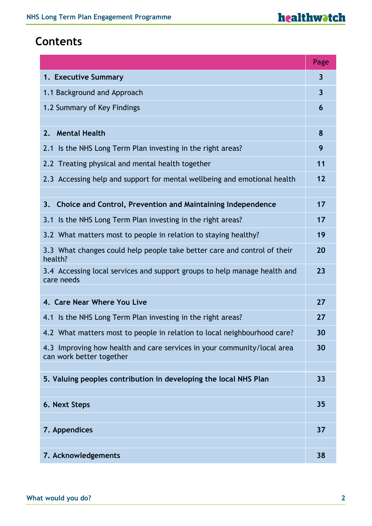## **Contents**

|                                                                                                     | Page           |  |  |  |
|-----------------------------------------------------------------------------------------------------|----------------|--|--|--|
| 1. Executive Summary                                                                                | $\overline{3}$ |  |  |  |
| 1.1 Background and Approach                                                                         |                |  |  |  |
| 1.2 Summary of Key Findings                                                                         |                |  |  |  |
|                                                                                                     |                |  |  |  |
| <b>Mental Health</b><br>2.                                                                          | 8              |  |  |  |
| 2.1 Is the NHS Long Term Plan investing in the right areas?                                         | 9              |  |  |  |
| 2.2 Treating physical and mental health together                                                    | 11             |  |  |  |
| 2.3 Accessing help and support for mental wellbeing and emotional health                            | 12             |  |  |  |
|                                                                                                     |                |  |  |  |
| Choice and Control, Prevention and Maintaining Independence<br>3.                                   | 17             |  |  |  |
| Is the NHS Long Term Plan investing in the right areas?<br>3.1                                      | 17             |  |  |  |
| 3.2 What matters most to people in relation to staying healthy?                                     | 19             |  |  |  |
| 3.3 What changes could help people take better care and control of their<br>health?                 |                |  |  |  |
| 3.4 Accessing local services and support groups to help manage health and<br>care needs             | 23             |  |  |  |
|                                                                                                     | 27             |  |  |  |
| 4. Care Near Where You Live                                                                         |                |  |  |  |
| 4.1 Is the NHS Long Term Plan investing in the right areas?                                         | 27             |  |  |  |
| 4.2 What matters most to people in relation to local neighbourhood care?                            | 30             |  |  |  |
| 4.3 Improving how health and care services in your community/local area<br>can work better together |                |  |  |  |
|                                                                                                     |                |  |  |  |
| 5. Valuing peoples contribution in developing the local NHS Plan                                    | 33             |  |  |  |
| 6. Next Steps                                                                                       | 35             |  |  |  |
|                                                                                                     |                |  |  |  |
| 7. Appendices                                                                                       | 37             |  |  |  |
|                                                                                                     |                |  |  |  |
| 7. Acknowledgements                                                                                 | 38             |  |  |  |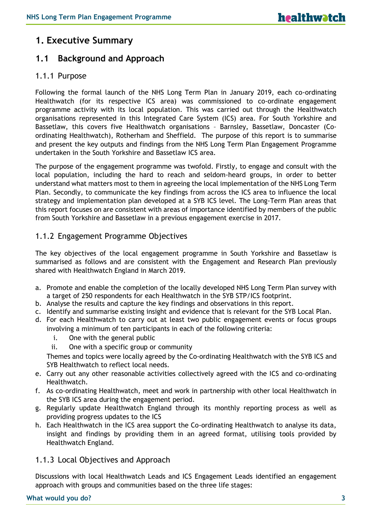### **1. Executive Summary**

### **1.1 Background and Approach**

### 1.1.1 Purpose

Following the formal launch of the NHS Long Term Plan in January 2019, each co-ordinating Healthwatch (for its respective ICS area) was commissioned to co-ordinate engagement programme activity with its local population. This was carried out through the Healthwatch organisations represented in this Integrated Care System (ICS) area. For South Yorkshire and Bassetlaw, this covers five Healthwatch organisations – Barnsley, Bassetlaw, Doncaster (Coordinating Healthwatch), Rotherham and Sheffield. The purpose of this report is to summarise and present the key outputs and findings from the NHS Long Term Plan Engagement Programme undertaken in the South Yorkshire and Bassetlaw ICS area.

The purpose of the engagement programme was twofold. Firstly, to engage and consult with the local population, including the hard to reach and seldom-heard groups, in order to better understand what matters most to them in agreeing the local implementation of the NHS Long Term Plan. Secondly, to communicate the key findings from across the ICS area to influence the local strategy and implementation plan developed at a SYB ICS level. The Long-Term Plan areas that this report focuses on are consistent with areas of importance identified by members of the public from South Yorkshire and Bassetlaw in a previous engagement exercise in 2017.

### 1.1.2 Engagement Programme Objectives

The key objectives of the local engagement programme in South Yorkshire and Bassetlaw is summarised as follows and are consistent with the Engagement and Research Plan previously shared with Healthwatch England in March 2019.

- a. Promote and enable the completion of the locally developed NHS Long Term Plan survey with a target of 250 respondents for each Healthwatch in the SYB STP/ICS footprint.
- b. Analyse the results and capture the key findings and observations in this report.
- c. Identify and summarise existing insight and evidence that is relevant for the SYB Local Plan.
- d. For each Healthwatch to carry out at least two public engagement events or focus groups involving a minimum of ten participants in each of the following criteria:
	- i. One with the general public
	- ii. One with a specific group or community

Themes and topics were locally agreed by the Co-ordinating Healthwatch with the SYB ICS and SYB Healthwatch to reflect local needs.

- e. Carry out any other reasonable activities collectively agreed with the ICS and co-ordinating Healthwatch.
- f. As co-ordinating Healthwatch, meet and work in partnership with other local Healthwatch in the SYB ICS area during the engagement period.
- g. Regularly update Healthwatch England through its monthly reporting process as well as providing progress updates to the ICS
- h. Each Healthwatch in the ICS area support the Co-ordinating Healthwatch to analyse its data, insight and findings by providing them in an agreed format, utilising tools provided by Healthwatch England.

### 1.1.3 Local Objectives and Approach

Discussions with local Healthwatch Leads and ICS Engagement Leads identified an engagement approach with groups and communities based on the three life stages: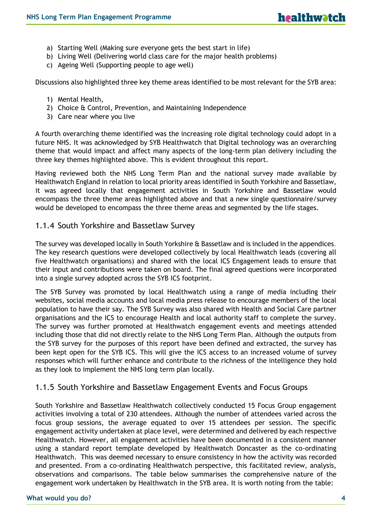- a) Starting Well (Making sure everyone gets the best start in life)
- b) Living Well (Delivering world class care for the major health problems)
- c) Ageing Well (Supporting people to age well)

Discussions also highlighted three key theme areas identified to be most relevant for the SYB area:

- 1) Mental Health,
- 2) Choice & Control, Prevention, and Maintaining Independence
- 3) Care near where you live

A fourth overarching theme identified was the increasing role digital technology could adopt in a future NHS. It was acknowledged by SYB Healthwatch that Digital technology was an overarching theme that would impact and affect many aspects of the long-term plan delivery including the three key themes highlighted above. This is evident throughout this report.

Having reviewed both the NHS Long Term Plan and the national survey made available by Healthwatch England in relation to local priority areas identified in South Yorkshire and Bassetlaw, it was agreed locally that engagement activities in South Yorkshire and Bassetlaw would encompass the three theme areas highlighted above and that a new single questionnaire/survey would be developed to encompass the three theme areas and segmented by the life stages.

### 1.1.4 South Yorkshire and Bassetlaw Survey

The survey was developed locally in South Yorkshire & Bassetlaw and is included in the appendices. The key research questions were developed collectively by local Healthwatch leads (covering all five Healthwatch organisations) and shared with the local ICS Engagement leads to ensure that their input and contributions were taken on board. The final agreed questions were incorporated into a single survey adopted across the SYB ICS footprint.

The SYB Survey was promoted by local Healthwatch using a range of media including their websites, social media accounts and local media press release to encourage members of the local population to have their say. The SYB Survey was also shared with Health and Social Care partner organisations and the ICS to encourage Health and local authority staff to complete the survey. The survey was further promoted at Healthwatch engagement events and meetings attended including those that did not directly relate to the NHS Long Term Plan. Although the outputs from the SYB survey for the purposes of this report have been defined and extracted, the survey has been kept open for the SYB ICS. This will give the ICS access to an increased volume of survey responses which will further enhance and contribute to the richness of the intelligence they hold as they look to implement the NHS long term plan locally.

### 1.1.5 South Yorkshire and Bassetlaw Engagement Events and Focus Groups

South Yorkshire and Bassetlaw Healthwatch collectively conducted 15 Focus Group engagement activities involving a total of 230 attendees. Although the number of attendees varied across the focus group sessions, the average equated to over 15 attendees per session. The specific engagement activity undertaken at place level, were determined and delivered by each respective Healthwatch. However, all engagement activities have been documented in a consistent manner using a standard report template developed by Healthwatch Doncaster as the co-ordinating Healthwatch. This was deemed necessary to ensure consistency in how the activity was recorded and presented. From a co-ordinating Healthwatch perspective, this facilitated review, analysis, observations and comparisons. The table below summarises the comprehensive nature of the engagement work undertaken by Healthwatch in the SYB area. It is worth noting from the table: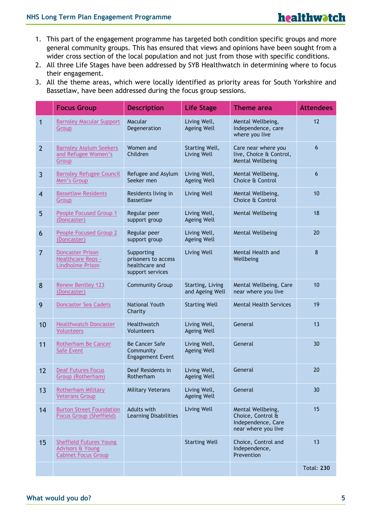- 1. This part of the engagement programme has targeted both condition specific groups and more general community groups. This has ensured that views and opinions have been sought from a wider cross section of the local population and not just from those with specific conditions.
- 2. All three Life Stages have been addressed by SYB Healthwatch in determining where to focus their engagement.
- 3. All the theme areas, which were locally identified as priority areas for South Yorkshire and Bassetlaw, have been addressed during the focus group sessions.

|                         | <b>Focus Group</b>                                                                          | <b>Description</b>                                                      | <b>Life Stage</b>                   | Theme area                                                                          | <b>Attendees</b>  |
|-------------------------|---------------------------------------------------------------------------------------------|-------------------------------------------------------------------------|-------------------------------------|-------------------------------------------------------------------------------------|-------------------|
| $\overline{1}$          | <b>Barnsley Macular Support</b><br>Group                                                    | Macular<br>Degeneration                                                 | Living Well,<br><b>Ageing Well</b>  | Mental Wellbeing,<br>Independence, care<br>where you live                           | 12                |
| $\overline{2}$          | <b>Barnsley Asylum Seekers</b><br>and Refugee Women's<br>Group                              | Women and<br>Children                                                   | Starting Well,<br>Living Well       | Care near where you<br>live, Choice & Control,<br><b>Mental Wellbeing</b>           | 6                 |
| $\overline{3}$          | <b>Barnsley Refugee Council</b><br>Men's Group                                              | Refugee and Asylum<br>Seeker men                                        | Living Well,<br><b>Ageing Well</b>  | Mental Wellbeing,<br>Choice & Control                                               | 6                 |
| $\overline{\mathbf{4}}$ | <b>Bassetlaw Residents</b><br>Group                                                         | Residents living in<br><b>Bassetlaw</b>                                 | Living Well                         | Mental Wellbeing,<br>Choice & Control                                               | 10                |
| 5                       | <b>People Focused Group 1</b><br>(Doncaster)                                                | Regular peer<br>support group                                           | Living Well,<br><b>Ageing Well</b>  | <b>Mental Wellbeing</b>                                                             | 18                |
| 6                       | People Focused Group 2<br>(Doncaster)                                                       | Regular peer<br>support group                                           | Living Well,<br><b>Ageing Well</b>  | <b>Mental Wellbeing</b>                                                             | 20                |
| $\overline{7}$          | <b>Doncaster Prison</b><br>Healthcare Reps -<br><b>Lindholme Prison</b>                     | Supporting<br>prisoners to access<br>healthcare and<br>support services | Living Well                         | Mental Health and<br>Wellbeing                                                      | 8                 |
| 8                       | <b>Renew Bentley 123</b><br>(Doncaster)                                                     | <b>Community Group</b>                                                  | Starting, Living<br>and Ageing Well | Mental Wellbeing, Care<br>near where you live                                       | 10                |
| 9                       | <b>Doncaster Sea Cadets</b>                                                                 | <b>National Youth</b><br>Charity                                        | <b>Starting Well</b>                | <b>Mental Health Services</b>                                                       | 19                |
| 10                      | <b>Healthwatch Doncaster</b><br>Volunteers                                                  | Healthwatch<br>Volunteers                                               | Living Well,<br><b>Ageing Well</b>  | General                                                                             | 13                |
| 11                      | <b>Rotherham Be Cancer</b><br><b>Safe Event</b>                                             | <b>Be Cancer Safe</b><br>Community<br><b>Engagement Event</b>           | Living Well,<br><b>Ageing Well</b>  | General                                                                             | 30                |
| 12                      | <b>Deaf Futures Focus</b><br>Group (Rotherham)                                              | Deaf Residents in<br>Rotherham                                          | Living Well,<br><b>Ageing Well</b>  | General                                                                             | 20                |
| 13                      | <b>Rotherham Military</b><br><b>Veterans Group</b>                                          | <b>Military Veterans</b>                                                | Living Well,<br><b>Ageing Well</b>  | General                                                                             | 30                |
| 14                      | <b>Burton Street Foundation</b><br>Focus Group (Sheffield)                                  | Adults with<br><b>Learning Disabilities</b>                             | Living Well                         | Mental Wellbeing,<br>Choice, Control &<br>Independence, Care<br>near where you live | 15                |
| 15                      | <b>Sheffield Futures Young</b><br><b>Advisors &amp; Young</b><br><b>Cabinet Focus Group</b> |                                                                         | <b>Starting Well</b>                | Choice, Control and<br>Independence,<br>Prevention                                  | 13                |
|                         |                                                                                             |                                                                         |                                     |                                                                                     | <b>Total: 230</b> |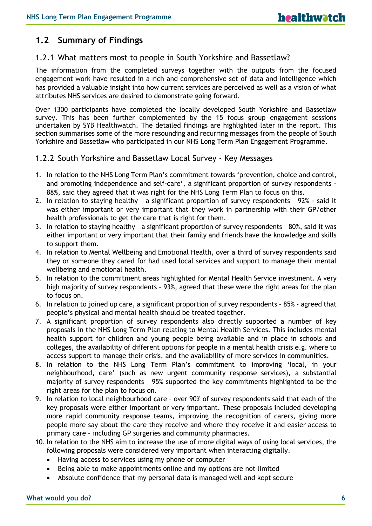### **1.2 Summary of Findings**

### 1.2.1 What matters most to people in South Yorkshire and Bassetlaw?

The information from the completed surveys together with the outputs from the focused engagement work have resulted in a rich and comprehensive set of data and intelligence which has provided a valuable insight into how current services are perceived as well as a vision of what attributes NHS services are desired to demonstrate going forward.

Over 1300 participants have completed the locally developed South Yorkshire and Bassetlaw survey. This has been further complemented by the 15 focus group engagement sessions undertaken by SYB Healthwatch. The detailed findings are highlighted later in the report. This section summarises some of the more resounding and recurring messages from the people of South Yorkshire and Bassetlaw who participated in our NHS Long Term Plan Engagement Programme.

### 1.2.2 South Yorkshire and Bassetlaw Local Survey - Key Messages

- 1. In relation to the NHS Long Term Plan's commitment towards 'prevention, choice and control, and promoting independence and self-care', a significant proportion of survey respondents - 88%, said they agreed that it was right for the NHS Long Term Plan to focus on this.
- 2. In relation to staying healthy a significant proportion of survey respondents 92% said it was either important or very important that they work in partnership with their GP/other health professionals to get the care that is right for them.
- 3. In relation to staying healthy a significant proportion of survey respondents 80%, said it was either important or very important that their family and friends have the knowledge and skills to support them.
- 4. In relation to Mental Wellbeing and Emotional Health, over a third of survey respondents said they or someone they cared for had used local services and support to manage their mental wellbeing and emotional health.
- 5. In relation to the commitment areas highlighted for Mental Health Service investment. A very high majority of survey respondents - 93%, agreed that these were the right areas for the plan to focus on.
- 6. In relation to joined up care, a significant proportion of survey respondents 85% agreed that people's physical and mental health should be treated together.
- 7. A significant proportion of survey respondents also directly supported a number of key proposals in the NHS Long Term Plan relating to Mental Health Services. This includes mental health support for children and young people being available and in place in schools and colleges, the availability of different options for people in a mental health crisis e.g. where to access support to manage their crisis, and the availability of more services in communities.
- 8. In relation to the NHS Long Term Plan's commitment to improving 'local, in your neighbourhood, care' (such as new urgent community response services), a substantial majority of survey respondents – 95% supported the key commitments highlighted to be the right areas for the plan to focus on.
- 9. In relation to local neighbourhood care over 90% of survey respondents said that each of the key proposals were either important or very important. These proposals included developing more rapid community response teams, improving the recognition of carers, giving more people more say about the care they receive and where they receive it and easier access to primary care – including GP surgeries and community pharmacies.
- 10. In relation to the NHS aim to increase the use of more digital ways of using local services, the following proposals were considered very important when interacting digitally.
	- Having access to services using my phone or computer
	- Being able to make appointments online and my options are not limited
	- Absolute confidence that my personal data is managed well and kept secure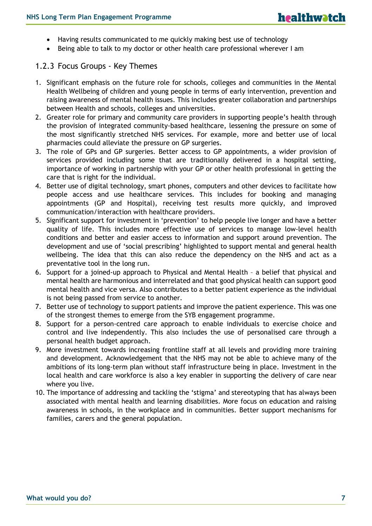- Having results communicated to me quickly making best use of technology
- Being able to talk to my doctor or other health care professional wherever I am

### 1.2.3 Focus Groups - Key Themes

- 1. Significant emphasis on the future role for schools, colleges and communities in the Mental Health Wellbeing of children and young people in terms of early intervention, prevention and raising awareness of mental health issues. This includes greater collaboration and partnerships between Health and schools, colleges and universities.
- 2. Greater role for primary and community care providers in supporting people's health through the provision of integrated community-based healthcare, lessening the pressure on some of the most significantly stretched NHS services. For example, more and better use of local pharmacies could alleviate the pressure on GP surgeries.
- 3. The role of GPs and GP surgeries. Better access to GP appointments, a wider provision of services provided including some that are traditionally delivered in a hospital setting, importance of working in partnership with your GP or other health professional in getting the care that is right for the individual.
- 4. Better use of digital technology, smart phones, computers and other devices to facilitate how people access and use healthcare services. This includes for booking and managing appointments (GP and Hospital), receiving test results more quickly, and improved communication/interaction with healthcare providers.
- 5. Significant support for investment in 'prevention' to help people live longer and have a better quality of life. This includes more effective use of services to manage low-level health conditions and better and easier access to information and support around prevention. The development and use of 'social prescribing' highlighted to support mental and general health wellbeing. The idea that this can also reduce the dependency on the NHS and act as a preventative tool in the long run.
- 6. Support for a joined-up approach to Physical and Mental Health a belief that physical and mental health are harmonious and interrelated and that good physical health can support good mental health and vice versa. Also contributes to a better patient experience as the individual is not being passed from service to another.
- 7. Better use of technology to support patients and improve the patient experience. This was one of the strongest themes to emerge from the SYB engagement programme.
- 8. Support for a person-centred care approach to enable individuals to exercise choice and control and live independently. This also includes the use of personalised care through a personal health budget approach.
- 9. More investment towards increasing frontline staff at all levels and providing more training and development. Acknowledgement that the NHS may not be able to achieve many of the ambitions of its long-term plan without staff infrastructure being in place. Investment in the local health and care workforce is also a key enabler in supporting the delivery of care near where you live.
- 10. The importance of addressing and tackling the 'stigma' and stereotyping that has always been associated with mental health and learning disabilities. More focus on education and raising awareness in schools, in the workplace and in communities. Better support mechanisms for families, carers and the general population.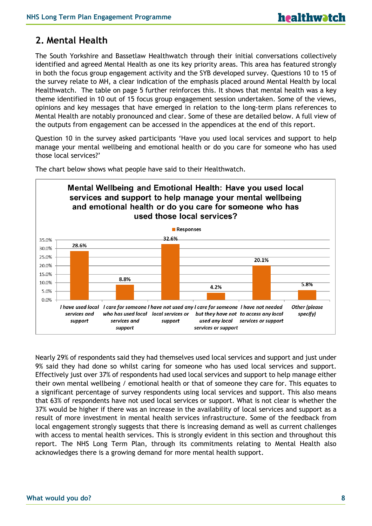### **2. Mental Health**

The South Yorkshire and Bassetlaw Healthwatch through their initial conversations collectively identified and agreed Mental Health as one its key priority areas. This area has featured strongly in both the focus group engagement activity and the SYB developed survey. Questions 10 to 15 of the survey relate to MH, a clear indication of the emphasis placed around Mental Health by local Healthwatch. The table on page 5 further reinforces this. It shows that mental health was a key theme identified in 10 out of 15 focus group engagement session undertaken. Some of the views, opinions and key messages that have emerged in relation to the long-term plans references to Mental Health are notably pronounced and clear. Some of these are detailed below. A full view of the outputs from engagement can be accessed in the appendices at the end of this report.

Question 10 in the survey asked participants 'Have you used local services and support to help manage your mental wellbeing and emotional health or do you care for someone who has used those local services?'



The chart below shows what people have said to their Healthwatch.

Nearly 29% of respondents said they had themselves used local services and support and just under 9% said they had done so whilst caring for someone who has used local services and support. Effectively just over 37% of respondents had used local services and support to help manage either their own mental wellbeing / emotional health or that of someone they care for. This equates to a significant percentage of survey respondents using local services and support. This also means that 63% of respondents have not used local services or support. What is not clear is whether the 37% would be higher if there was an increase in the availability of local services and support as a result of more investment in mental health services infrastructure. Some of the feedback from local engagement strongly suggests that there is increasing demand as well as current challenges with access to mental health services. This is strongly evident in this section and throughout this report. The NHS Long Term Plan, through its commitments relating to Mental Health also acknowledges there is a growing demand for more mental health support.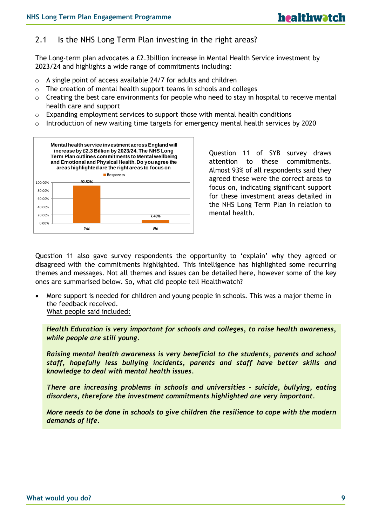### 2.1 Is the NHS Long Term Plan investing in the right areas?

The Long-term plan advocates a £2.3billion increase in Mental Health Service investment by 2023/24 and highlights a wide range of commitments including:

- $\circ$  A single point of access available 24/7 for adults and children
- o The creation of mental health support teams in schools and colleges
- $\circ$  Creating the best care environments for people who need to stay in hospital to receive mental health care and support
- $\circ$  Expanding employment services to support those with mental health conditions
- $\circ$  Introduction of new waiting time targets for emergency mental health services by 2020



Question 11 of SYB survey draws attention to these commitments. Almost 93% of all respondents said they agreed these were the correct areas to focus on, indicating significant support for these investment areas detailed in the NHS Long Term Plan in relation to mental health.

Question 11 also gave survey respondents the opportunity to 'explain' why they agreed or disagreed with the commitments highlighted. This intelligence has highlighted some recurring themes and messages. Not all themes and issues can be detailed here, however some of the key ones are summarised below. So, what did people tell Healthwatch?

 More support is needed for children and young people in schools. This was a major theme in the feedback received. What people said included:

*Health Education is very important for schools and colleges, to raise health awareness, while people are still young.*

*Raising mental health awareness is very beneficial to the students, parents and school staff, hopefully less bullying incidents, parents and staff have better skills and knowledge to deal with mental health issues.*

*There are increasing problems in schools and universities – suicide, bullying, eating disorders, therefore the investment commitments highlighted are very important.*

*More needs to be done in schools to give children the resilience to cope with the modern demands of life.*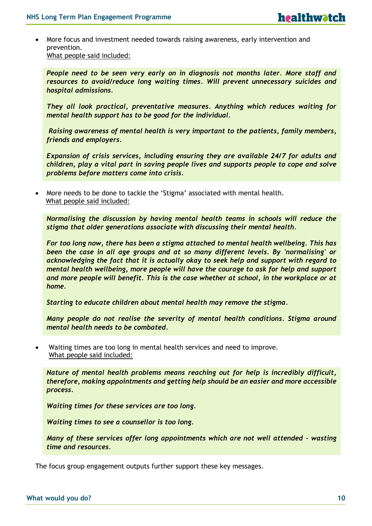More focus and investment needed towards raising awareness, early intervention and prevention. What people said included:

*People need to be seen very early on in diagnosis not months later. More staff and resources to avoid/reduce long waiting times. Will prevent unnecessary suicides and hospital admissions.*

*They all look practical, preventative measures. Anything which reduces waiting for mental health support has to be good for the individual.*

*Raising awareness of mental health is very important to the patients, family members, friends and employers.*

*Expansion of crisis services, including ensuring they are available 24/7 for adults and children, play a vital part in saving people lives and supports people to cope and solve problems before matters come into crisis.*

 More needs to be done to tackle the 'Stigma' associated with mental health. What people said included:

*Normalising the discussion by having mental health teams in schools will reduce the stigma that older generations associate with discussing their mental health.*

*For too long now, there has been a stigma attached to mental health wellbeing. This has been the case in all age groups and at so many different levels. By 'normalising' or acknowledging the fact that it is actually okay to seek help and support with regard to mental health wellbeing, more people will have the courage to ask for help and support and more people will benefit. This is the case whether at school, in the workplace or at home.*

*Starting to educate children about mental health may remove the stigma.*

*Many people do not realise the severity of mental health conditions. Stigma around mental health needs to be combated.*

 Waiting times are too long in mental health services and need to improve. What people said included:

*Nature of mental health problems means reaching out for help is incredibly difficult, therefore, making appointments and getting help should be an easier and more accessible process.*

*Waiting times for these services are too long.*

*Waiting times to see a counsellor is too long.*

*Many of these services offer long appointments which are not well attended – wasting time and resources.* 

The focus group engagement outputs further support these key messages.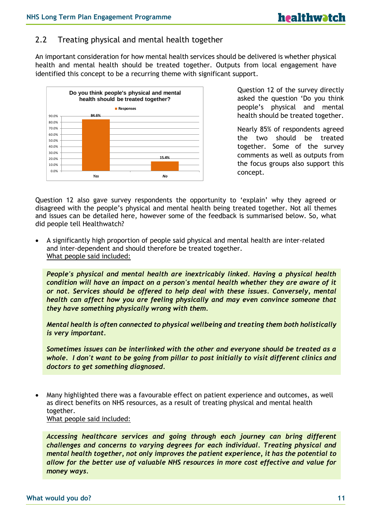### 2.2 Treating physical and mental health together

An important consideration for how mental health services should be delivered is whether physical health and mental health should be treated together. Outputs from local engagement have identified this concept to be a recurring theme with significant support.



Question 12 of the survey directly asked the question 'Do you think people's physical and mental health should be treated together.

Nearly 85% of respondents agreed the two should be treated together. Some of the survey comments as well as outputs from the focus groups also support this concept.

Question 12 also gave survey respondents the opportunity to 'explain' why they agreed or disagreed with the people's physical and mental health being treated together. Not all themes and issues can be detailed here, however some of the feedback is summarised below. So, what did people tell Healthwatch?

 A significantly high proportion of people said physical and mental health are inter-related and inter-dependent and should therefore be treated together. What people said included:

*People's physical and mental health are inextricably linked. Having a physical health condition will have an impact on a person's mental health whether they are aware of it or not. Services should be offered to help deal with these issues. Conversely, mental health can affect how you are feeling physically and may even convince someone that they have something physically wrong with them.*

*Mental health is often connected to physical wellbeing and treating them both holistically is very important.*

*Sometimes issues can be interlinked with the other and everyone should be treated as a whole. I don't want to be going from pillar to post initially to visit different clinics and doctors to get something diagnosed.*

 Many highlighted there was a favourable effect on patient experience and outcomes, as well as direct benefits on NHS resources, as a result of treating physical and mental health together. What people said included:

*Accessing healthcare services and going through each journey can bring different challenges and concerns to varying degrees for each individual. Treating physical and mental health together, not only improves the patient experience, it has the potential to allow for the better use of valuable NHS resources in more cost effective and value for money ways.*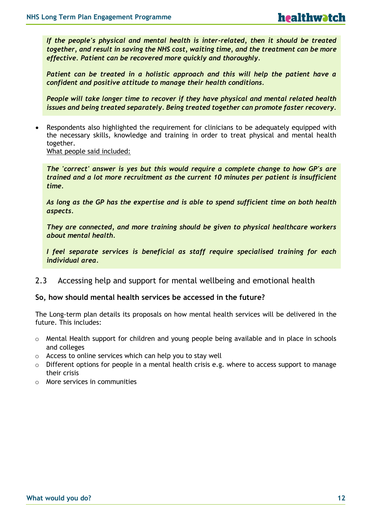*If the people's physical and mental health is inter-related, then it should be treated together, and result in saving the NHS cost, waiting time, and the treatment can be more effective. Patient can be recovered more quickly and thoroughly.*

*Patient can be treated in a holistic approach and this will help the patient have a confident and positive attitude to manage their health conditions.*

*People will take longer time to recover if they have physical and mental related health issues and being treated separately. Being treated together can promote faster recovery.*

 Respondents also highlighted the requirement for clinicians to be adequately equipped with the necessary skills, knowledge and training in order to treat physical and mental health together.

What people said included:

*The 'correct' answer is yes but this would require a complete change to how GP's are trained and a lot more recruitment as the current 10 minutes per patient is insufficient time.*

*As long as the GP has the expertise and is able to spend sufficient time on both health aspects.*

*They are connected, and more training should be given to physical healthcare workers about mental health.*

*I feel separate services is beneficial as staff require specialised training for each individual area.*

2.3 Accessing help and support for mental wellbeing and emotional health

#### **So, how should mental health services be accessed in the future?**

The Long-term plan details its proposals on how mental health services will be delivered in the future. This includes:

- $\circ$  Mental Health support for children and young people being available and in place in schools and colleges
- o Access to online services which can help you to stay well
- $\circ$  Different options for people in a mental health crisis e.g. where to access support to manage their crisis
- o More services in communities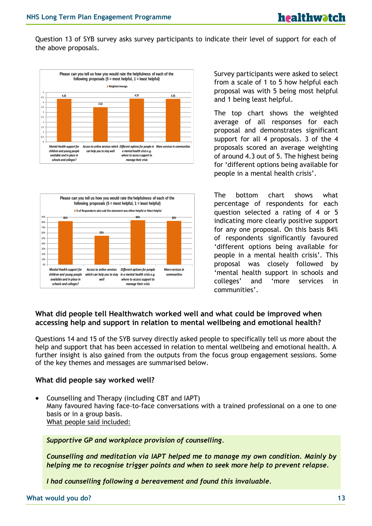Question 13 of SYB survey asks survey participants to indicate their level of support for each of the above proposals.





Survey participants were asked to select from a scale of 1 to 5 how helpful each proposal was with 5 being most helpful and 1 being least helpful.

The top chart shows the weighted average of all responses for each proposal and demonstrates significant support for all 4 proposals. 3 of the 4 proposals scored an average weighting of around 4.3 out of 5. The highest being for 'different options being available for people in a mental health crisis'.

The bottom chart shows what percentage of respondents for each question selected a rating of 4 or 5 indicating more clearly positive support for any one proposal. On this basis 84% of respondents significantly favoured 'different options being available for people in a mental health crisis'. This proposal was closely followed by 'mental health support in schools and colleges' and 'more services in communities'.

### **What did people tell Healthwatch worked well and what could be improved when accessing help and support in relation to mental wellbeing and emotional health?**

Questions 14 and 15 of the SYB survey directly asked people to specifically tell us more about the help and support that has been accessed in relation to mental wellbeing and emotional health. A further insight is also gained from the outputs from the focus group engagement sessions. Some of the key themes and messages are summarised below.

### **What did people say worked well?**

 Counselling and Therapy (including CBT and IAPT) Many favoured having face-to-face conversations with a trained professional on a one to one basis or in a group basis. What people said included:

*Supportive GP and workplace provision of counselling.*

*Counselling and meditation via IAPT helped me to manage my own condition. Mainly by helping me to recognise trigger points and when to seek more help to prevent relapse.* 

*I had counselling following a bereavement and found this invaluable.*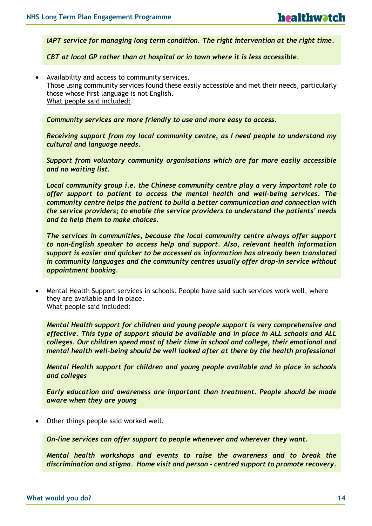*IAPT service for managing long term condition. The right intervention at the right time.*

*CBT at local GP rather than at hospital or in town where it is less accessible.*

 Availability and access to community services. Those using community services found these easily accessible and met their needs, particularly those whose first language is not English. What people said included:

*Community services are more friendly to use and more easy to access.*

*Receiving support from my local community centre, as I need people to understand my cultural and language needs.*

*Support from voluntary community organisations which are far more easily accessible and no waiting list.*

*Local community group i.e. the Chinese community centre play a very important role to offer support to patient to access the mental health and well-being services. The community centre helps the patient to build a better communication and connection with the service providers; to enable the service providers to understand the patients' needs and to help them to make choices.* 

*The services in communities, because the local community centre always offer support to non-English speaker to access help and support. Also, relevant health information support is easier and quicker to be accessed as information has already been translated in community languages and the community centres usually offer drop-in service without appointment booking.*

 Mental Health Support services in schools. People have said such services work well, where they are available and in place. What people said included:

*Mental Health support for children and young people support is very comprehensive and effective. This type of support should be available and in place in ALL schools and ALL colleges. Our children spend most of their time in school and college, their emotional and mental health well-being should be well looked after at there by the health professional*

*Mental Health support for children and young people available and in place in schools and colleges*

*Early education and awareness are important than treatment. People should be made aware when they are young*

Other things people said worked well.

*On-line services can offer support to people whenever and wherever they want.*

*Mental health workshops and events to raise the awareness and to break the discrimination and stigma. Home visit and person - centred support to promote recovery.*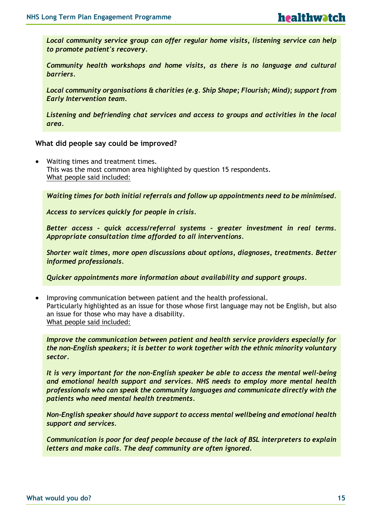*Local community service group can offer regular home visits, listening service can help to promote patient's recovery.*

*Community health workshops and home visits, as there is no language and cultural barriers.*

*Local community organisations & charities (e.g. Ship Shape; Flourish; Mind); support from Early Intervention team.*

*Listening and befriending chat services and access to groups and activities in the local area.*

#### **What did people say could be improved?**

 Waiting times and treatment times. This was the most common area highlighted by question 15 respondents. What people said included:

*Waiting times for both initial referrals and follow up appointments need to be minimised.*

*Access to services quickly for people in crisis.*

*Better access - quick access/referral systems - greater investment in real terms. Appropriate consultation time afforded to all interventions.*

*Shorter wait times, more open discussions about options, diagnoses, treatments. Better informed professionals.*

*Quicker appointments more information about availability and support groups.*

 Improving communication between patient and the health professional. Particularly highlighted as an issue for those whose first language may not be English, but also an issue for those who may have a disability. What people said included:

*Improve the communication between patient and health service providers especially for the non-English speakers; it is better to work together with the ethnic minority voluntary sector.*

*It is very important for the non-English speaker be able to access the mental well-being and emotional health support and services. NHS needs to employ more mental health professionals who can speak the community languages and communicate directly with the patients who need mental health treatments.*

*Non-English speaker should have support to access mental wellbeing and emotional health support and services.* 

*Communication is poor for deaf people because of the lack of BSL interpreters to explain letters and make calls. The deaf community are often ignored.*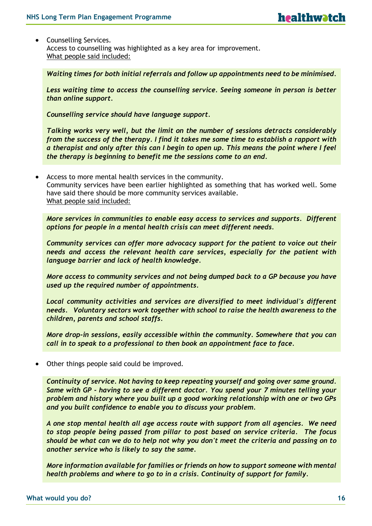Counselling Services. Access to counselling was highlighted as a key area for improvement. What people said included:

*Waiting times for both initial referrals and follow up appointments need to be minimised.*

*Less waiting time to access the counselling service. Seeing someone in person is better than online support.*

*Counselling service should have language support.*

*Talking works very well, but the limit on the number of sessions detracts considerably from the success of the therapy. I find it takes me some time to establish a rapport with a therapist and only after this can I begin to open up. This means the point where I feel the therapy is beginning to benefit me the sessions come to an end.*

 Access to more mental health services in the community. Community services have been earlier highlighted as something that has worked well. Some have said there should be more community services available. What people said included:

*More services in communities to enable easy access to services and supports. Different options for people in a mental health crisis can meet different needs.*

*Community services can offer more advocacy support for the patient to voice out their needs and access the relevant health care services, especially for the patient with language barrier and lack of health knowledge.*

*More access to community services and not being dumped back to a GP because you have used up the required number of appointments.*

*Local community activities and services are diversified to meet individual's different needs. Voluntary sectors work together with school to raise the health awareness to the children, parents and school staffs.*

*More drop-in sessions, easily accessible within the community. Somewhere that you can call in to speak to a professional to then book an appointment face to face.*

Other things people said could be improved.

*Continuity of service. Not having to keep repeating yourself and going over same ground. Same with GP - having to see a different doctor. You spend your 7 minutes telling your problem and history where you built up a good working relationship with one or two GPs and you built confidence to enable you to discuss your problem.*

*A one stop mental health all age access route with support from all agencies. We need to stop people being passed from pillar to post based on service criteria. The focus should be what can we do to help not why you don't meet the criteria and passing on to another service who is likely to say the same.*

*More information available for families or friends on how to support someone with mental health problems and where to go to in a crisis. Continuity of support for family.*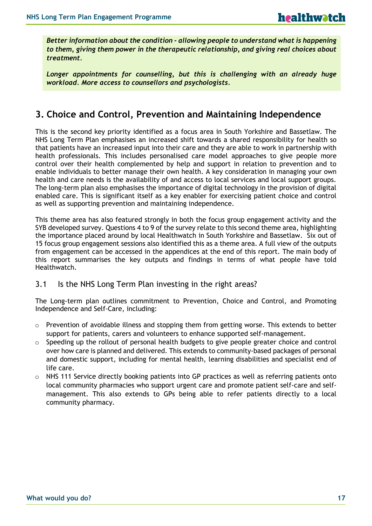*Better information about the condition - allowing people to understand what is happening to them, giving them power in the therapeutic relationship, and giving real choices about treatment.*

*Longer appointments for counselling, but this is challenging with an already huge workload. More access to counsellors and psychologists.*

### **3. Choice and Control, Prevention and Maintaining Independence**

This is the second key priority identified as a focus area in South Yorkshire and Bassetlaw. The NHS Long Term Plan emphasises an increased shift towards a shared responsibility for health so that patients have an increased input into their care and they are able to work in partnership with health professionals. This includes personalised care model approaches to give people more control over their health complemented by help and support in relation to prevention and to enable individuals to better manage their own health. A key consideration in managing your own health and care needs is the availability of and access to local services and local support groups. The long-term plan also emphasises the importance of digital technology in the provision of digital enabled care. This is significant itself as a key enabler for exercising patient choice and control as well as supporting prevention and maintaining independence.

This theme area has also featured strongly in both the focus group engagement activity and the SYB developed survey. Questions 4 to 9 of the survey relate to this second theme area, highlighting the importance placed around by local Healthwatch in South Yorkshire and Bassetlaw. Six out of 15 focus group engagement sessions also identified this as a theme area. A full view of the outputs from engagement can be accessed in the appendices at the end of this report. The main body of this report summarises the key outputs and findings in terms of what people have told Healthwatch.

### 3.1 Is the NHS Long Term Plan investing in the right areas?

The Long-term plan outlines commitment to Prevention, Choice and Control, and Promoting Independence and Self-Care, including:

- $\circ$  Prevention of avoidable illness and stopping them from getting worse. This extends to better support for patients, carers and volunteers to enhance supported self-management.
- o Speeding up the rollout of personal health budgets to give people greater choice and control over how care is planned and delivered. This extends to community-based packages of personal and domestic support, including for mental health, learning disabilities and specialist end of life care.
- $\circ$  NHS 111 Service directly booking patients into GP practices as well as referring patients onto local community pharmacies who support urgent care and promote patient self-care and selfmanagement. This also extends to GPs being able to refer patients directly to a local community pharmacy.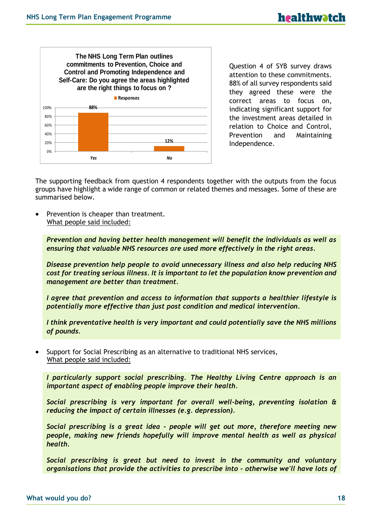

Question 4 of SYB survey draws attention to these commitments. 88% of all survey respondents said they agreed these were the correct areas to focus on, indicating significant support for the investment areas detailed in relation to Choice and Control, Prevention and Maintaining Independence.

The supporting feedback from question 4 respondents together with the outputs from the focus groups have highlight a wide range of common or related themes and messages. Some of these are summarised below.

 Prevention is cheaper than treatment. What people said included:

*Prevention and having better health management will benefit the individuals as well as ensuring that valuable NHS resources are used more effectively in the right areas.*

*Disease prevention help people to avoid unnecessary illness and also help reducing NHS cost for treating serious illness. It is important to let the population know prevention and management are better than treatment.*

*I agree that prevention and access to information that supports a healthier lifestyle is potentially more effective than just post condition and medical intervention.*

*I think preventative health is very important and could potentially save the NHS millions of pounds.*

 Support for Social Prescribing as an alternative to traditional NHS services, What people said included:

*I particularly support social prescribing. The Healthy Living Centre approach is an important aspect of enabling people improve their health.*

*Social prescribing is very important for overall well-being, preventing isolation & reducing the impact of certain illnesses (e.g. depression).*

*Social prescribing is a great idea - people will get out more, therefore meeting new people, making new friends hopefully will improve mental health as well as physical health.*

*Social prescribing is great but need to invest in the community and voluntary organisations that provide the activities to prescribe into - otherwise we'll have lots of*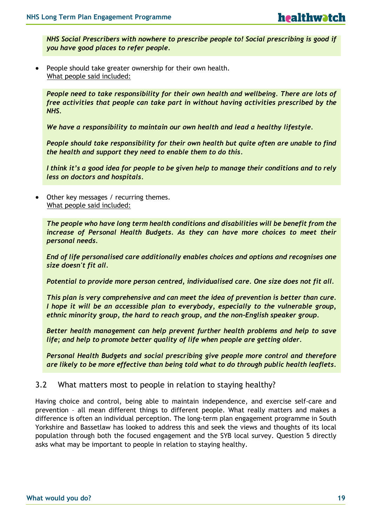*NHS Social Prescribers with nowhere to prescribe people to! Social prescribing is good if you have good places to refer people.*

 People should take greater ownership for their own health. What people said included:

*People need to take responsibility for their own health and wellbeing. There are lots of free activities that people can take part in without having activities prescribed by the NHS.*

*We have a responsibility to maintain our own health and lead a healthy lifestyle.*

*People should take responsibility for their own health but quite often are unable to find the health and support they need to enable them to do this.*

*I think it's a good idea for people to be given help to manage their conditions and to rely less on doctors and hospitals.*

 Other key messages / recurring themes. What people said included:

*The people who have long term health conditions and disabilities will be benefit from the increase of Personal Health Budgets. As they can have more choices to meet their personal needs.*

*End of life personalised care additionally enables choices and options and recognises one size doesn't fit all.*

*Potential to provide more person centred, individualised care. One size does not fit all.*

*This plan is very comprehensive and can meet the idea of prevention is better than cure. I hope it will be an accessible plan to everybody, especially to the vulnerable group, ethnic minority group, the hard to reach group, and the non-English speaker group.*

*Better health management can help prevent further health problems and help to save life; and help to promote better quality of life when people are getting older.*

*Personal Health Budgets and social prescribing give people more control and therefore are likely to be more effective than being told what to do through public health leaflets.*

### 3.2 What matters most to people in relation to staying healthy?

Having choice and control, being able to maintain independence, and exercise self-care and prevention – all mean different things to different people. What really matters and makes a difference is often an individual perception. The long-term plan engagement programme in South Yorkshire and Bassetlaw has looked to address this and seek the views and thoughts of its local population through both the focused engagement and the SYB local survey. Question 5 directly asks what may be important to people in relation to staying healthy.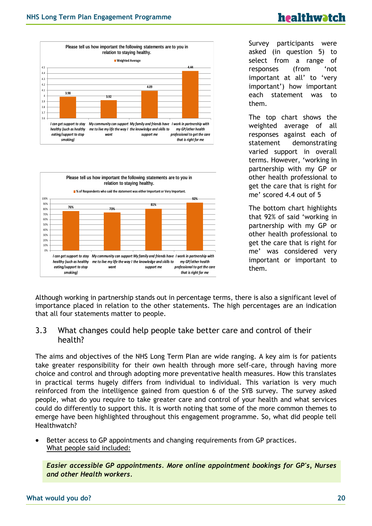## healthwatch





Survey participants were asked (in question 5) to select from a range of responses (from 'not important at all' to 'very important') how important each statement was to them.

The top chart shows the weighted average of all responses against each of statement demonstrating varied support in overall terms. However, 'working in partnership with my GP or other health professional to get the care that is right for me' scored 4.4 out of 5

The bottom chart highlights that 92% of said 'working in partnership with my GP or other health professional to get the care that is right for me' was considered very important or important to them.

Although working in partnership stands out in percentage terms, there is also a significant level of importance placed in relation to the other statements. The high percentages are an indication that all four statements matter to people.

### 3.3 What changes could help people take better care and control of their health?

The aims and objectives of the NHS Long Term Plan are wide ranging. A key aim is for patients take greater responsibility for their own health through more self-care, through having more choice and control and through adopting more preventative health measures. How this translates in practical terms hugely differs from individual to individual. This variation is very much reinforced from the intelligence gained from question 6 of the SYB survey. The survey asked people, what do you require to take greater care and control of your health and what services could do differently to support this. It is worth noting that some of the more common themes to emerge have been highlighted throughout this engagement programme. So, what did people tell Healthwatch?

 Better access to GP appointments and changing requirements from GP practices. What people said included:

*Easier accessible GP appointments. More online appointment bookings for GP's, Nurses and other Health workers.*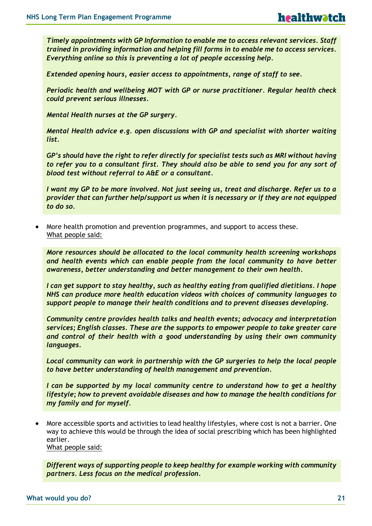*Timely appointments with GP Information to enable me to access relevant services. Staff trained in providing information and helping fill forms in to enable me to access services. Everything online so this is preventing a lot of people accessing help.*

*Extended opening hours, easier access to appointments, range of staff to see.*

*Periodic health and wellbeing MOT with GP or nurse practitioner. Regular health check could prevent serious illnesses.*

*Mental Health nurses at the GP surgery.*

*Mental Health advice e.g. open discussions with GP and specialist with shorter waiting list.*

*GP's should have the right to refer directly for specialist tests such as MRI without having to refer you to a consultant first. They should also be able to send you for any sort of blood test without referral to A&E or a consultant.*

*I want my GP to be more involved. Not just seeing us, treat and discharge. Refer us to a provider that can further help/support us when it is necessary or if they are not equipped to do so.*

 More health promotion and prevention programmes, and support to access these. What people said:

*More resources should be allocated to the local community health screening workshops and health events which can enable people from the local community to have better awareness, better understanding and better management to their own health.*

*I can get support to stay healthy, such as healthy eating from qualified dietitians. I hope NHS can produce more health education videos with choices of community languages to support people to manage their health conditions and to prevent diseases developing.*

*Community centre provides health talks and health events; advocacy and interpretation services; English classes. These are the supports to empower people to take greater care and control of their health with a good understanding by using their own community languages.*

*Local community can work in partnership with the GP surgeries to help the local people to have better understanding of health management and prevention.*

*I can be supported by my local community centre to understand how to get a healthy lifestyle; how to prevent avoidable diseases and how to manage the health conditions for my family and for myself.*

 More accessible sports and activities to lead healthy lifestyles, where cost is not a barrier. One way to achieve this would be through the idea of social prescribing which has been highlighted earlier.

What people said:

*Different ways of supporting people to keep healthy for example working with community partners. Less focus on the medical profession.*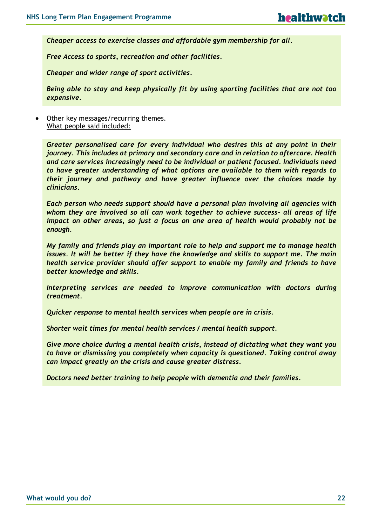*Cheaper access to exercise classes and affordable gym membership for all.*

*Free Access to sports, recreation and other facilities.*

*Cheaper and wider range of sport activities.*

*Being able to stay and keep physically fit by using sporting facilities that are not too expensive.*

 Other key messages/recurring themes. What people said included:

*Greater personalised care for every individual who desires this at any point in their journey. This includes at primary and secondary care and in relation to aftercare. Health and care services increasingly need to be individual or patient focused. Individuals need to have greater understanding of what options are available to them with regards to their journey and pathway and have greater influence over the choices made by clinicians.*

*Each person who needs support should have a personal plan involving all agencies with whom they are involved so all can work together to achieve success- all areas of life impact on other areas, so just a focus on one area of health would probably not be enough.*

*My family and friends play an important role to help and support me to manage health issues. It will be better if they have the knowledge and skills to support me. The main health service provider should offer support to enable my family and friends to have better knowledge and skills.*

*Interpreting services are needed to improve communication with doctors during treatment.*

*Quicker response to mental health services when people are in crisis.*

*Shorter wait times for mental health services / mental health support.*

*Give more choice during a mental health crisis, instead of dictating what they want you to have or dismissing you completely when capacity is questioned. Taking control away can impact greatly on the crisis and cause greater distress.*

*Doctors need better training to help people with dementia and their families.*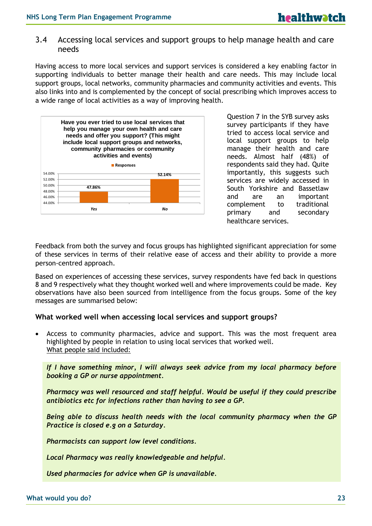### 3.4 Accessing local services and support groups to help manage health and care needs

Having access to more local services and support services is considered a key enabling factor in supporting individuals to better manage their health and care needs. This may include local support groups, local networks, community pharmacies and community activities and events. This also links into and is complemented by the concept of social prescribing which improves access to a wide range of local activities as a way of improving health.



Question 7 in the SYB survey asks survey participants if they have tried to access local service and local support groups to help manage their health and care needs. Almost half (48%) of respondents said they had. Quite importantly, this suggests such services are widely accessed in South Yorkshire and Bassetlaw and are an important complement to traditional primary and secondary healthcare services.

Feedback from both the survey and focus groups has highlighted significant appreciation for some of these services in terms of their relative ease of access and their ability to provide a more person-centred approach.

Based on experiences of accessing these services, survey respondents have fed back in questions 8 and 9 respectively what they thought worked well and where improvements could be made. Key observations have also been sourced from intelligence from the focus groups. Some of the key messages are summarised below:

### **What worked well when accessing local services and support groups?**

 Access to community pharmacies, advice and support. This was the most frequent area highlighted by people in relation to using local services that worked well. What people said included:

*If I have something minor, I will always seek advice from my local pharmacy before booking a GP or nurse appointment.*

*Pharmacy was well resourced and staff helpful. Would be useful if they could prescribe antibiotics etc for infections rather than having to see a GP.*

*Being able to discuss health needs with the local community pharmacy when the GP Practice is closed e.g on a Saturday.*

*Pharmacists can support low level conditions.*

*Local Pharmacy was really knowledgeable and helpful.*

*Used pharmacies for advice when GP is unavailable.*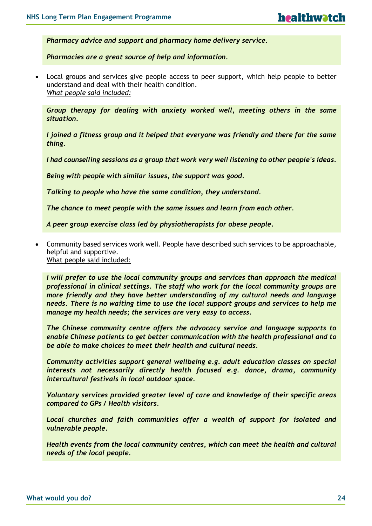*Pharmacy advice and support and pharmacy home delivery service.*

*Pharmacies are a great source of help and information.*

 Local groups and services give people access to peer support, which help people to better understand and deal with their health condition. *What people said included:*

*Group therapy for dealing with anxiety worked well, meeting others in the same situation.*

*I joined a fitness group and it helped that everyone was friendly and there for the same thing.*

*I had counselling sessions as a group that work very well listening to other people's ideas.*

*Being with people with similar issues, the support was good.*

*Talking to people who have the same condition, they understand.*

*The chance to meet people with the same issues and learn from each other.*

*A peer group exercise class led by physiotherapists for obese people.*

 Community based services work well. People have described such services to be approachable, helpful and supportive. What people said included:

*I will prefer to use the local community groups and services than approach the medical professional in clinical settings. The staff who work for the local community groups are more friendly and they have better understanding of my cultural needs and language needs. There is no waiting time to use the local support groups and services to help me manage my health needs; the services are very easy to access.*

*The Chinese community centre offers the advocacy service and language supports to enable Chinese patients to get better communication with the health professional and to be able to make choices to meet their health and cultural needs.*

*Community activities support general wellbeing e.g. adult education classes on special interests not necessarily directly health focused e.g. dance, drama, community intercultural festivals in local outdoor space.*

*Voluntary services provided greater level of care and knowledge of their specific areas compared to GPs / Health visitors.*

*Local churches and faith communities offer a wealth of support for isolated and vulnerable people.*

*Health events from the local community centres, which can meet the health and cultural needs of the local people.*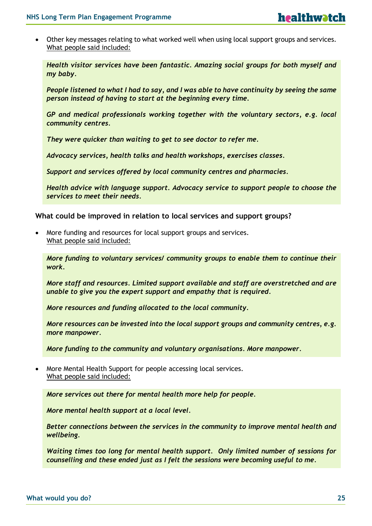Other key messages relating to what worked well when using local support groups and services. What people said included:

*Health visitor services have been fantastic. Amazing social groups for both myself and my baby.*

*People listened to what I had to say, and I was able to have continuity by seeing the same person instead of having to start at the beginning every time.*

*GP and medical professionals working together with the voluntary sectors, e.g. local community centres.*

*They were quicker than waiting to get to see doctor to refer me.*

*Advocacy services, health talks and health workshops, exercises classes.*

*Support and services offered by local community centres and pharmacies.*

*Health advice with language support. Advocacy service to support people to choose the services to meet their needs.*

**What could be improved in relation to local services and support groups?**

 More funding and resources for local support groups and services. What people said included:

*More funding to voluntary services/ community groups to enable them to continue their work.*

*More staff and resources. Limited support available and staff are overstretched and are unable to give you the expert support and empathy that is required.*

*More resources and funding allocated to the local community.*

*More resources can be invested into the local support groups and community centres, e.g. more manpower.*

*More funding to the community and voluntary organisations. More manpower.*

 More Mental Health Support for people accessing local services. What people said included:

*More services out there for mental health more help for people.*

*More mental health support at a local level.*

*Better connections between the services in the community to improve mental health and wellbeing.*

*Waiting times too long for mental health support. Only limited number of sessions for counselling and these ended just as I felt the sessions were becoming useful to me.*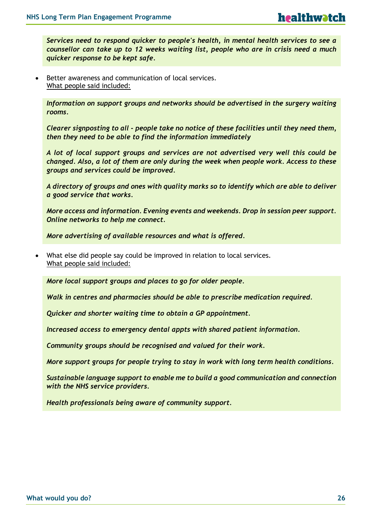*Services need to respond quicker to people's health, in mental health services to see a counsellor can take up to 12 weeks waiting list, people who are in crisis need a much quicker response to be kept safe.*

 Better awareness and communication of local services. What people said included:

*Information on support groups and networks should be advertised in the surgery waiting rooms.*

*Clearer signposting to all - people take no notice of these facilities until they need them, then they need to be able to find the information immediately*

*A lot of local support groups and services are not advertised very well this could be changed. Also, a lot of them are only during the week when people work. Access to these groups and services could be improved.*

*A directory of groups and ones with quality marks so to identify which are able to deliver a good service that works.*

*More access and information. Evening events and weekends. Drop in session peer support. Online networks to help me connect.*

*More advertising of available resources and what is offered.*

 What else did people say could be improved in relation to local services. What people said included:

*More local support groups and places to go for older people.*

*Walk in centres and pharmacies should be able to prescribe medication required.*

*Quicker and shorter waiting time to obtain a GP appointment.*

*Increased access to emergency dental appts with shared patient information.*

*Community groups should be recognised and valued for their work.*

*More support groups for people trying to stay in work with long term health conditions.*

*Sustainable language support to enable me to build a good communication and connection with the NHS service providers.*

*Health professionals being aware of community support.*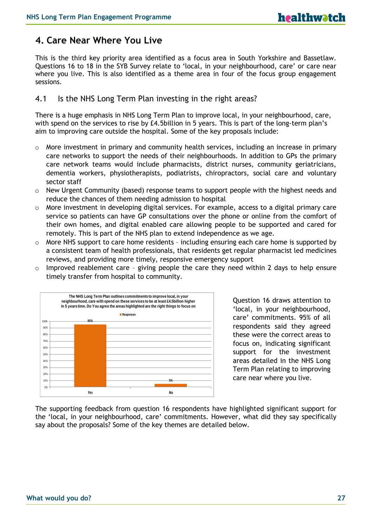### **4. Care Near Where You Live**

This is the third key priority area identified as a focus area in South Yorkshire and Bassetlaw. Questions 16 to 18 in the SYB Survey relate to 'local, in your neighbourhood, care' or care near where you live. This is also identified as a theme area in four of the focus group engagement sessions.

### 4.1 Is the NHS Long Term Plan investing in the right areas?

There is a huge emphasis in NHS Long Term Plan to improve local, in your neighbourhood, care, with spend on the services to rise by £4.5billion in 5 years. This is part of the long-term plan's aim to improving care outside the hospital. Some of the key proposals include:

- $\circ$  More investment in primary and community health services, including an increase in primary care networks to support the needs of their neighbourhoods. In addition to GPs the primary care network teams would include pharmacists, district nurses, community geriatricians, dementia workers, physiotherapists, podiatrists, chiropractors, social care and voluntary sector staff
- $\circ$  New Urgent Community (based) response teams to support people with the highest needs and reduce the chances of them needing admission to hospital
- $\circ$  More investment in developing digital services. For example, access to a digital primary care service so patients can have GP consultations over the phone or online from the comfort of their own homes, and digital enabled care allowing people to be supported and cared for remotely. This is part of the NHS plan to extend independence as we age.
- o More NHS support to care home residents including ensuring each care home is supported by a consistent team of health professionals, that residents get regular pharmacist led medicines reviews, and providing more timely, responsive emergency support
- Improved reablement care giving people the care they need within 2 days to help ensure timely transfer from hospital to community.



Question 16 draws attention to 'local, in your neighbourhood, care' commitments. 95% of all respondents said they agreed these were the correct areas to focus on, indicating significant support for the investment areas detailed in the NHS Long Term Plan relating to improving care near where you live.

The supporting feedback from question 16 respondents have highlighted significant support for the 'local, in your neighbourhood, care' commitments. However, what did they say specifically say about the proposals? Some of the key themes are detailed below.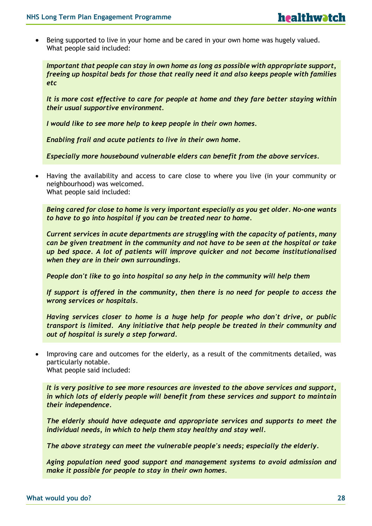Being supported to live in your home and be cared in your own home was hugely valued. What people said included:

*Important that people can stay in own home as long as possible with appropriate support, freeing up hospital beds for those that really need it and also keeps people with families etc*

*It is more cost effective to care for people at home and they fare better staying within their usual supportive environment.*

*I would like to see more help to keep people in their own homes.*

*Enabling frail and acute patients to live in their own home.*

*Especially more housebound vulnerable elders can benefit from the above services.*

 Having the availability and access to care close to where you live (in your community or neighbourhood) was welcomed. What people said included:

*Being cared for close to home is very important especially as you get older. No-one wants to have to go into hospital if you can be treated near to home.*

*Current services in acute departments are struggling with the capacity of patients, many can be given treatment in the community and not have to be seen at the hospital or take up bed space. A lot of patients will improve quicker and not become institutionalised when they are in their own surroundings.*

*People don't like to go into hospital so any help in the community will help them*

*If support is offered in the community, then there is no need for people to access the wrong services or hospitals.*

*Having services closer to home is a huge help for people who don't drive, or public transport is limited. Any initiative that help people be treated in their community and out of hospital is surely a step forward.*

 Improving care and outcomes for the elderly, as a result of the commitments detailed, was particularly notable. What people said included:

*It is very positive to see more resources are invested to the above services and support, in which lots of elderly people will benefit from these services and support to maintain their independence.*

*The elderly should have adequate and appropriate services and supports to meet the individual needs, in which to help them stay healthy and stay well.*

*The above strategy can meet the vulnerable people's needs; especially the elderly.*

*Aging population need good support and management systems to avoid admission and make it possible for people to stay in their own homes.*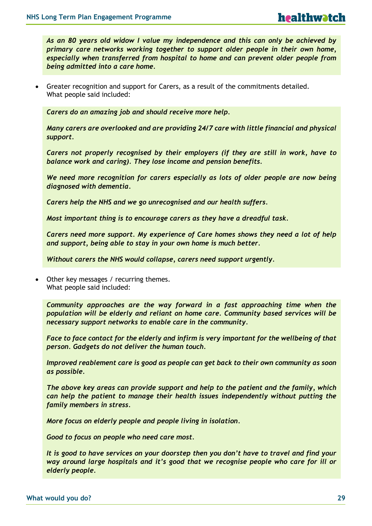*As an 80 years old widow I value my independence and this can only be achieved by primary care networks working together to support older people in their own home, especially when transferred from hospital to home and can prevent older people from being admitted into a care home.*

 Greater recognition and support for Carers, as a result of the commitments detailed. What people said included:

*Carers do an amazing job and should receive more help.*

*Many carers are overlooked and are providing 24/7 care with little financial and physical support.*

*Carers not properly recognised by their employers (if they are still in work, have to balance work and caring). They lose income and pension benefits.*

*We need more recognition for carers especially as lots of older people are now being diagnosed with dementia.*

*Carers help the NHS and we go unrecognised and our health suffers.*

*Most important thing is to encourage carers as they have a dreadful task.*

*Carers need more support. My experience of Care homes shows they need a lot of help and support, being able to stay in your own home is much better.*

*Without carers the NHS would collapse, carers need support urgently.*

 Other key messages / recurring themes. What people said included:

*Community approaches are the way forward in a fast approaching time when the population will be elderly and reliant on home care. Community based services will be necessary support networks to enable care in the community.*

*Face to face contact for the elderly and infirm is very important for the wellbeing of that person. Gadgets do not deliver the human touch.*

*Improved reablement care is good as people can get back to their own community as soon as possible.*

*The above key areas can provide support and help to the patient and the family, which can help the patient to manage their health issues independently without putting the family members in stress.*

*More focus on elderly people and people living in isolation.*

*Good to focus on people who need care most.*

*It is good to have services on your doorstep then you don't have to travel and find your way around large hospitals and it's good that we recognise people who care for ill or elderly people.*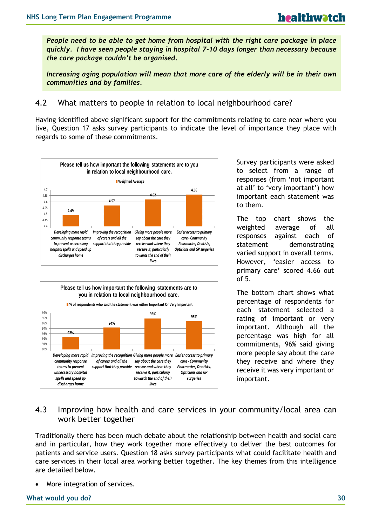*People need to be able to get home from hospital with the right care package in place quickly. I have seen people staying in hospital 7-10 days longer than necessary because the care package couldn't be organised.*

*Increasing aging population will mean that more care of the elderly will be in their own communities and by families.*

### 4.2 What matters to people in relation to local neighbourhood care?

Having identified above significant support for the commitments relating to care near where you live, Question 17 asks survey participants to indicate the level of importance they place with regards to some of these commitments.





Survey participants were asked to select from a range of responses (from 'not important at all' to 'very important') how important each statement was to them.

The top chart shows the weighted average of all responses against each of statement demonstrating varied support in overall terms. However, 'easier access to primary care' scored 4.66 out of 5.

The bottom chart shows what percentage of respondents for each statement selected a rating of important or very important. Although all the percentage was high for all commitments, 96% said giving more people say about the care they receive and where they receive it was very important or important.

### 4.3 Improving how health and care services in your community/local area can work better together

Traditionally there has been much debate about the relationship between health and social care and in particular, how they work together more effectively to deliver the best outcomes for patients and service users. Question 18 asks survey participants what could facilitate health and care services in their local area working better together. The key themes from this intelligence are detailed below.

More integration of services.

### **What would you do? 30**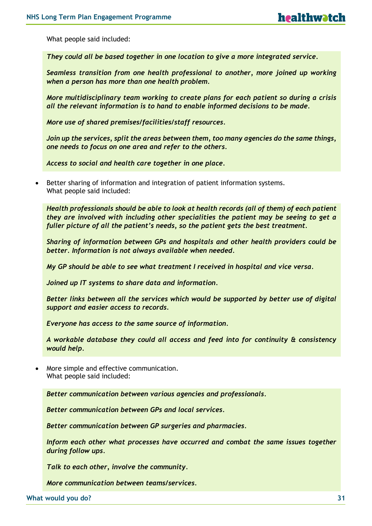What people said included:

*They could all be based together in one location to give a more integrated service.*

*Seamless transition from one health professional to another, more joined up working when a person has more than one health problem.*

*More multidisciplinary team working to create plans for each patient so during a crisis all the relevant information is to hand to enable informed decisions to be made.*

*More use of shared premises/facilities/staff resources.*

*Join up the services, split the areas between them, too many agencies do the same things, one needs to focus on one area and refer to the others.*

*Access to social and health care together in one place.*

 Better sharing of information and integration of patient information systems. What people said included:

*Health professionals should be able to look at health records (all of them) of each patient they are involved with including other specialities the patient may be seeing to get a fuller picture of all the patient's needs, so the patient gets the best treatment.*

*Sharing of information between GPs and hospitals and other health providers could be better. Information is not always available when needed.*

*My GP should be able to see what treatment I received in hospital and vice versa.*

*Joined up IT systems to share data and information.*

*Better links between all the services which would be supported by better use of digital support and easier access to records.*

*Everyone has access to the same source of information.*

*A workable database they could all access and feed into for continuity & consistency would help.*

 More simple and effective communication. What people said included:

*Better communication between various agencies and professionals.*

*Better communication between GPs and local services.*

*Better communication between GP surgeries and pharmacies.*

*Inform each other what processes have occurred and combat the same issues together during follow ups.*

*Talk to each other, involve the community.*

*More communication between teams/services.*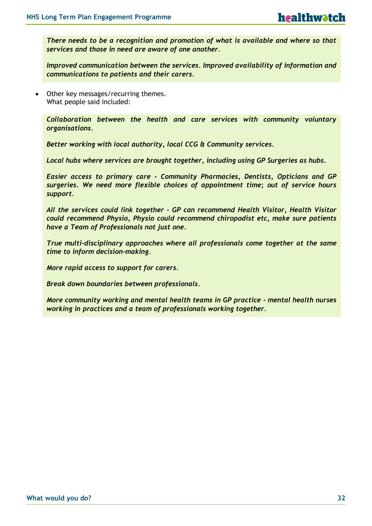*There needs to be a recognition and promotion of what is available and where so that services and those in need are aware of one another.*

*Improved communication between the services. Improved availability of information and communications to patients and their carers.*

• Other key messages/recurring themes. What people said included:

*Collaboration between the health and care services with community voluntary organisations.*

*Better working with local authority, local CCG & Community services.*

*Local hubs where services are brought together, including using GP Surgeries as hubs.*

*Easier access to primary care - Community Pharmacies, Dentists, Opticians and GP surgeries. We need more flexible choices of appointment time; out of service hours support.*

*All the services could link together - GP can recommend Health Visitor, Health Visitor could recommend Physio, Physio could recommend chiropodist etc, make sure patients have a Team of Professionals not just one.*

*True multi-disciplinary approaches where all professionals come together at the same time to inform decision-making.*

*More rapid access to support for carers.*

*Break down boundaries between professionals.*

*More community working and mental health teams in GP practice - mental health nurses working in practices and a team of professionals working together.*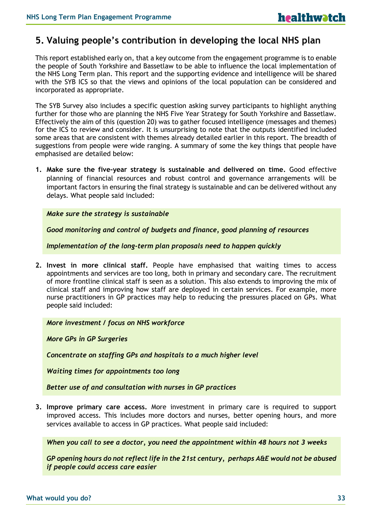### **5. Valuing people's contribution in developing the local NHS plan**

This report established early on, that a key outcome from the engagement programme is to enable the people of South Yorkshire and Bassetlaw to be able to influence the local implementation of the NHS Long Term plan. This report and the supporting evidence and intelligence will be shared with the SYB ICS so that the views and opinions of the local population can be considered and incorporated as appropriate.

The SYB Survey also includes a specific question asking survey participants to highlight anything further for those who are planning the NHS Five Year Strategy for South Yorkshire and Bassetlaw. Effectively the aim of this (question 20) was to gather focused intelligence (messages and themes) for the ICS to review and consider. It is unsurprising to note that the outputs identified included some areas that are consistent with themes already detailed earlier in this report. The breadth of suggestions from people were wide ranging. A summary of some the key things that people have emphasised are detailed below:

**1. Make sure the five-year strategy is sustainable and delivered on time.** Good effective planning of financial resources and robust control and governance arrangements will be important factors in ensuring the final strategy is sustainable and can be delivered without any delays. What people said included:

*Make sure the strategy is sustainable*

*Good monitoring and control of budgets and finance, good planning of resources*

*Implementation of the long-term plan proposals need to happen quickly*

**2. Invest in more clinical staff.** People have emphasised that waiting times to access appointments and services are too long, both in primary and secondary care. The recruitment of more frontline clinical staff is seen as a solution. This also extends to improving the mix of clinical staff and improving how staff are deployed in certain services. For example, more nurse practitioners in GP practices may help to reducing the pressures placed on GPs. What people said included:

*More investment / focus on NHS workforce*

*More GPs in GP Surgeries*

*Concentrate on staffing GPs and hospitals to a much higher level*

*Waiting times for appointments too long*

*Better use of and consultation with nurses in GP practices*

**3. Improve primary care access.** More investment in primary care is required to support improved access. This includes more doctors and nurses, better opening hours, and more services available to access in GP practices. What people said included:

*When you call to see a doctor, you need the appointment within 48 hours not 3 weeks*

*GP opening hours do not reflect life in the 21st century, perhaps A&E would not be abused if people could access care easier*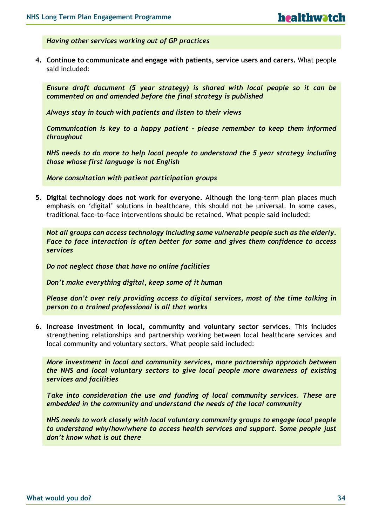#### *Having other services working out of GP practices*

**4. Continue to communicate and engage with patients, service users and carers.** What people said included:

*Ensure draft document (5 year strategy) is shared with local people so it can be commented on and amended before the final strategy is published*

*Always stay in touch with patients and listen to their views*

*Communication is key to a happy patient – please remember to keep them informed throughout*

*NHS needs to do more to help local people to understand the 5 year strategy including those whose first language is not English*

*More consultation with patient participation groups*

**5. Digital technology does not work for everyone.** Although the long-term plan places much emphasis on 'digital' solutions in healthcare, this should not be universal. In some cases, traditional face-to-face interventions should be retained. What people said included:

*Not all groups can access technology including some vulnerable people such as the elderly. Face to face interaction is often better for some and gives them confidence to access services*

*Do not neglect those that have no online facilities*

*Don't make everything digital, keep some of it human*

*Please don't over rely providing access to digital services, most of the time talking in person to a trained professional is all that works*

**6. Increase investment in local, community and voluntary sector services.** This includes strengthening relationships and partnership working between local healthcare services and local community and voluntary sectors. What people said included:

*More investment in local and community services, more partnership approach between the NHS and local voluntary sectors to give local people more awareness of existing services and facilities*

*Take into consideration the use and funding of local community services. These are embedded in the community and understand the needs of the local community*

*NHS needs to work closely with local voluntary community groups to engage local people to understand why/how/where to access health services and support. Some people just don't know what is out there*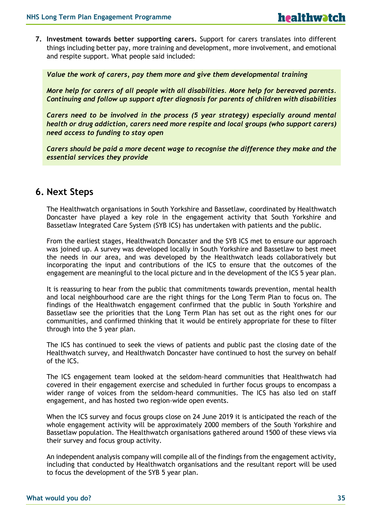**7. Investment towards better supporting carers.** Support for carers translates into different things including better pay, more training and development, more involvement, and emotional and respite support. What people said included:

*Value the work of carers, pay them more and give them developmental training*

*More help for carers of all people with all disabilities. More help for bereaved parents. Continuing and follow up support after diagnosis for parents of children with disabilities*

*Carers need to be involved in the process (5 year strategy) especially around mental health or drug addiction, carers need more respite and local groups (who support carers) need access to funding to stay open*

*Carers should be paid a more decent wage to recognise the difference they make and the essential services they provide*

### **6. Next Steps**

The Healthwatch organisations in South Yorkshire and Bassetlaw, coordinated by Healthwatch Doncaster have played a key role in the engagement activity that South Yorkshire and Bassetlaw Integrated Care System (SYB ICS) has undertaken with patients and the public.

From the earliest stages, Healthwatch Doncaster and the SYB ICS met to ensure our approach was joined up. A survey was developed locally in South Yorkshire and Bassetlaw to best meet the needs in our area, and was developed by the Healthwatch leads collaboratively but incorporating the input and contributions of the ICS to ensure that the outcomes of the engagement are meaningful to the local picture and in the development of the ICS 5 year plan.

It is reassuring to hear from the public that commitments towards prevention, mental health and local neighbourhood care are the right things for the Long Term Plan to focus on. The findings of the Healthwatch engagement confirmed that the public in South Yorkshire and Bassetlaw see the priorities that the Long Term Plan has set out as the right ones for our communities, and confirmed thinking that it would be entirely appropriate for these to filter through into the 5 year plan.

The ICS has continued to seek the views of patients and public past the closing date of the Healthwatch survey, and Healthwatch Doncaster have continued to host the survey on behalf of the ICS.

The ICS engagement team looked at the seldom-heard communities that Healthwatch had covered in their engagement exercise and scheduled in further focus groups to encompass a wider range of voices from the seldom-heard communities. The ICS has also led on staff engagement, and has hosted two region-wide open events.

When the ICS survey and focus groups close on 24 June 2019 it is anticipated the reach of the whole engagement activity will be approximately 2000 members of the South Yorkshire and Bassetlaw population. The Healthwatch organisations gathered around 1500 of these views via their survey and focus group activity.

An independent analysis company will compile all of the findings from the engagement activity, including that conducted by Healthwatch organisations and the resultant report will be used to focus the development of the SYB 5 year plan.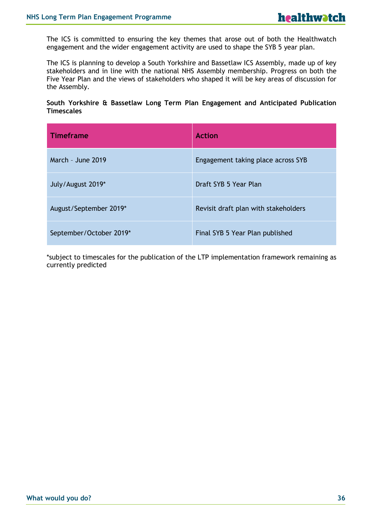The ICS is committed to ensuring the key themes that arose out of both the Healthwatch engagement and the wider engagement activity are used to shape the SYB 5 year plan.

The ICS is planning to develop a South Yorkshire and Bassetlaw ICS Assembly, made up of key stakeholders and in line with the national NHS Assembly membership. Progress on both the Five Year Plan and the views of stakeholders who shaped it will be key areas of discussion for the Assembly.

**South Yorkshire & Bassetlaw Long Term Plan Engagement and Anticipated Publication Timescales**

| <b>Timeframe</b>        | <b>Action</b>                        |
|-------------------------|--------------------------------------|
| March - June 2019       | Engagement taking place across SYB   |
| July/August 2019*       | Draft SYB 5 Year Plan                |
| August/September 2019*  | Revisit draft plan with stakeholders |
| September/October 2019* | Final SYB 5 Year Plan published      |

\*subject to timescales for the publication of the LTP implementation framework remaining as currently predicted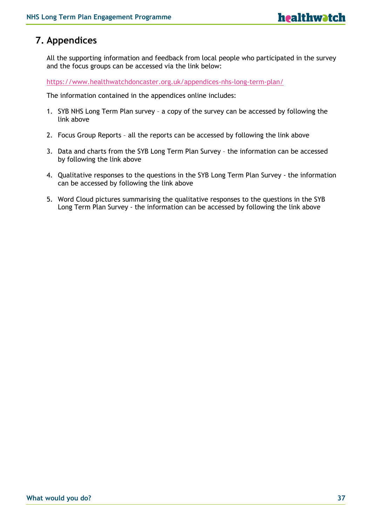### **7. Appendices**

All the supporting information and feedback from local people who participated in the survey and the focus groups can be accessed via the link below:

<https://www.healthwatchdoncaster.org.uk/appendices-nhs-long-term-plan/>

The information contained in the appendices online includes:

- 1. SYB NHS Long Term Plan survey a copy of the survey can be accessed by following the link above
- 2. Focus Group Reports all the reports can be accessed by following the link above
- 3. Data and charts from the SYB Long Term Plan Survey the information can be accessed by following the link above
- 4. Qualitative responses to the questions in the SYB Long Term Plan Survey the information can be accessed by following the link above
- 5. Word Cloud pictures summarising the qualitative responses to the questions in the SYB Long Term Plan Survey - the information can be accessed by following the link above